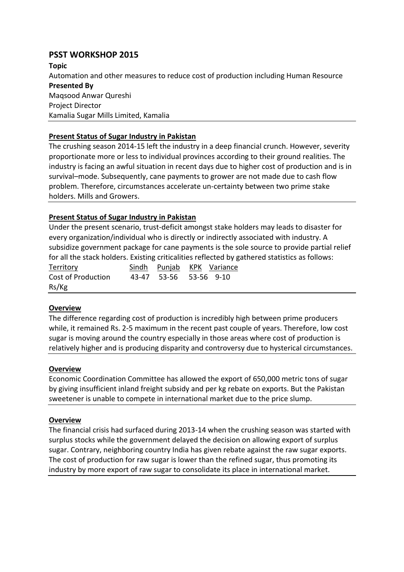# **PSST WORKSHOP 2015**

**Topic**  Automation and other measures to reduce cost of production including Human Resource **Presented By** Maqsood Anwar Qureshi Project Director Kamalia Sugar Mills Limited, Kamalia

# **Present Status of Sugar Industry in Pakistan**

The crushing season 2014-15 left the industry in a deep financial crunch. However, severity proportionate more or less to individual provinces according to their ground realities. The industry is facing an awful situation in recent days due to higher cost of production and is in survival–mode. Subsequently, cane payments to grower are not made due to cash flow problem. Therefore, circumstances accelerate un-certainty between two prime stake holders. Mills and Growers.

# **Present Status of Sugar Industry in Pakistan**

Under the present scenario, trust-deficit amongst stake holders may leads to disaster for every organization/individual who is directly or indirectly associated with industry. A subsidize government package for cane payments is the sole source to provide partial relief for all the stack holders. Existing criticalities reflected by gathered statistics as follows:

| <b>Territory</b>   |                        | Sindh Punjab KPK Variance |
|--------------------|------------------------|---------------------------|
| Cost of Production | 43-47 53-56 53-56 9-10 |                           |
| Rs/Kg              |                        |                           |

# **Overview**

The difference regarding cost of production is incredibly high between prime producers while, it remained Rs. 2-5 maximum in the recent past couple of years. Therefore, low cost sugar is moving around the country especially in those areas where cost of production is relatively higher and is producing disparity and controversy due to hysterical circumstances.

## **Overview**

Economic Coordination Committee has allowed the export of 650,000 metric tons of sugar by giving insufficient inland freight subsidy and per kg rebate on exports. But the Pakistan sweetener is unable to compete in international market due to the price slump.

## **Overview**

The financial crisis had surfaced during 2013-14 when the crushing season was started with surplus stocks while the government delayed the decision on allowing export of surplus sugar. Contrary, neighboring country India has given rebate against the raw sugar exports. The cost of production for raw sugar is lower than the refined sugar, thus promoting its industry by more export of raw sugar to consolidate its place in international market.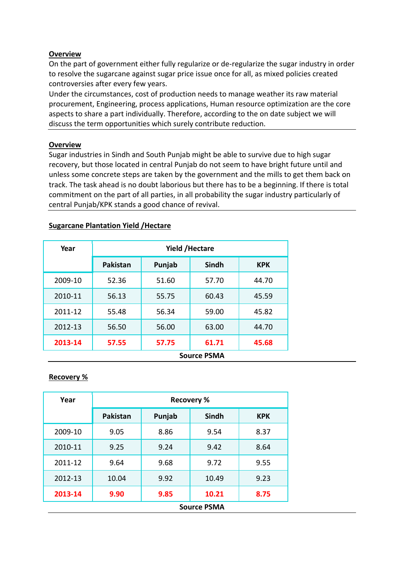## **Overview**

On the part of government either fully regularize or de-regularize the sugar industry in order to resolve the sugarcane against sugar price issue once for all, as mixed policies created controversies after every few years.

Under the circumstances, cost of production needs to manage weather its raw material procurement, Engineering, process applications, Human resource optimization are the core aspects to share a part individually. Therefore, according to the on date subject we will discuss the term opportunities which surely contribute reduction.

#### **Overview**

Sugar industries in Sindh and South Punjab might be able to survive due to high sugar recovery, but those located in central Punjab do not seem to have bright future until and unless some concrete steps are taken by the government and the mills to get them back on track. The task ahead is no doubt laborious but there has to be a beginning. If there is total commitment on the part of all parties, in all probability the sugar industry particularly of central Punjab/KPK stands a good chance of revival.

| Year    | <b>Yield /Hectare</b> |        |              |            |
|---------|-----------------------|--------|--------------|------------|
|         | <b>Pakistan</b>       | Punjab | <b>Sindh</b> | <b>KPK</b> |
| 2009-10 | 52.36                 | 51.60  | 57.70        | 44.70      |
| 2010-11 | 56.13                 | 55.75  | 60.43        | 45.59      |
| 2011-12 | 55.48                 | 56.34  | 59.00        | 45.82      |
| 2012-13 | 56.50                 | 56.00  | 63.00        | 44.70      |
| 2013-14 | 57.55                 | 57.75  | 61.71        | 45.68      |
|         | <b>Source PSMA</b>    |        |              |            |

#### **Sugarcane Plantation Yield /Hectare**

## **Recovery %**

| Year    | <b>Recovery %</b>  |        |       |            |
|---------|--------------------|--------|-------|------------|
|         | <b>Pakistan</b>    | Punjab | Sindh | <b>KPK</b> |
| 2009-10 | 9.05               | 8.86   | 9.54  | 8.37       |
| 2010-11 | 9.25               | 9.24   | 9.42  | 8.64       |
| 2011-12 | 9.64               | 9.68   | 9.72  | 9.55       |
| 2012-13 | 10.04              | 9.92   | 10.49 | 9.23       |
| 2013-14 | 9.90               | 9.85   | 10.21 | 8.75       |
|         | <b>Source PSMA</b> |        |       |            |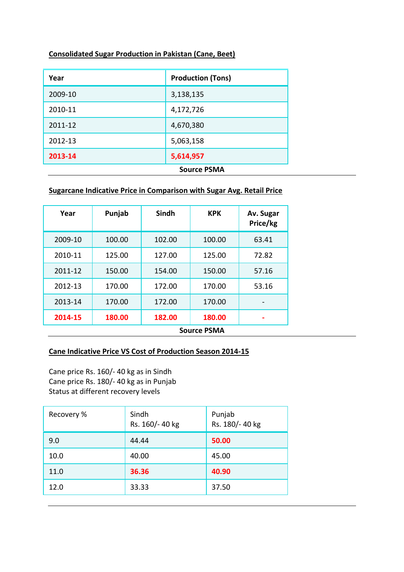## **Consolidated Sugar Production in Pakistan (Cane, Beet)**

| Year               | <b>Production (Tons)</b> |  |
|--------------------|--------------------------|--|
| 2009-10            | 3,138,135                |  |
| 2010-11            | 4,172,726                |  |
| 2011-12            | 4,670,380                |  |
| 2012-13            | 5,063,158                |  |
| 2013-14            | 5,614,957                |  |
| <b>Source PSMA</b> |                          |  |

# **Sugarcane Indicative Price in Comparison with Sugar Avg. Retail Price**

| Year    | Punjab             | Sindh  | <b>KPK</b> | Av. Sugar<br>Price/kg |
|---------|--------------------|--------|------------|-----------------------|
| 2009-10 | 100.00             | 102.00 | 100.00     | 63.41                 |
| 2010-11 | 125.00             | 127.00 | 125.00     | 72.82                 |
| 2011-12 | 150.00             | 154.00 | 150.00     | 57.16                 |
| 2012-13 | 170.00             | 172.00 | 170.00     | 53.16                 |
| 2013-14 | 170.00             | 172.00 | 170.00     |                       |
| 2014-15 | 180.00             | 182.00 | 180.00     |                       |
|         | <b>Source PSMA</b> |        |            |                       |

#### **Cane Indicative Price VS Cost of Production Season 2014-15**

Cane price Rs. 160/- 40 kg as in Sindh Cane price Rs. 180/- 40 kg as in Punjab Status at different recovery levels

| Recovery % | Sindh<br>Rs. 160/-40 kg | Punjab<br>Rs. 180/- 40 kg |
|------------|-------------------------|---------------------------|
| 9.0        | 44.44                   | 50.00                     |
| 10.0       | 40.00                   | 45.00                     |
| 11.0       | 36.36                   | 40.90                     |
| 12.0       | 33.33                   | 37.50                     |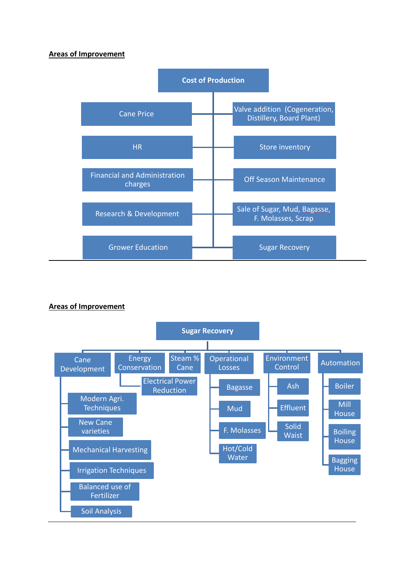#### **Areas of Improvement**



## **Areas of Improvement**

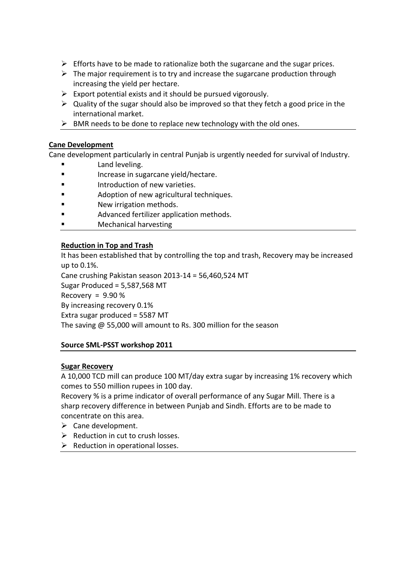- $\triangleright$  Efforts have to be made to rationalize both the sugarcane and the sugar prices.
- $\triangleright$  The major requirement is to try and increase the sugarcane production through increasing the yield per hectare.
- $\triangleright$  Export potential exists and it should be pursued vigorously.
- $\triangleright$  Quality of the sugar should also be improved so that they fetch a good price in the international market.
- $\triangleright$  BMR needs to be done to replace new technology with the old ones.

# **Cane Development**

Cane development particularly in central Punjab is urgently needed for survival of Industry.

- Land leveling.
- **Increase in sugarcane yield/hectare.**
- **Example 12** Introduction of new varieties.
- **Example 3** Adoption of new agricultural techniques.
- New irrigation methods.
- Advanced fertilizer application methods.
- Mechanical harvesting

# **Reduction in Top and Trash**

It has been established that by controlling the top and trash, Recovery may be increased up to 0.1%.

Cane crushing Pakistan season 2013-14 = 56,460,524 MT

Sugar Produced = 5,587,568 MT

Recovery =  $9.90\%$ 

By increasing recovery 0.1%

Extra sugar produced = 5587 MT

The saving @ 55,000 will amount to Rs. 300 million for the season

## **Source SML-PSST workshop 2011**

## **Sugar Recovery**

A 10,000 TCD mill can produce 100 MT/day extra sugar by increasing 1% recovery which comes to 550 million rupees in 100 day.

Recovery % is a prime indicator of overall performance of any Sugar Mill. There is a sharp recovery difference in between Punjab and Sindh. Efforts are to be made to concentrate on this area.

- $\triangleright$  Cane development.
- $\triangleright$  Reduction in cut to crush losses.
- $\triangleright$  Reduction in operational losses.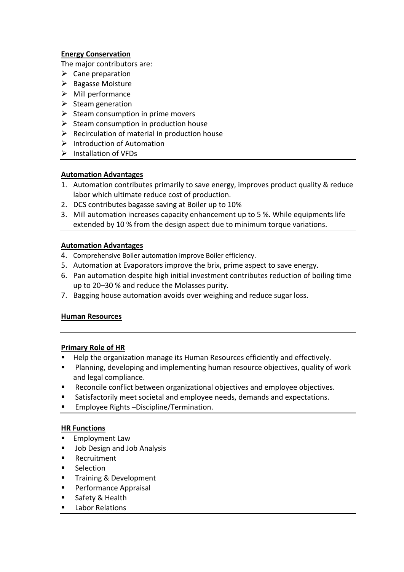## **Energy Conservation**

The major contributors are:

- $\triangleright$  Cane preparation
- $\triangleright$  Bagasse Moisture
- $\triangleright$  Mill performance
- $\triangleright$  Steam generation
- $\triangleright$  Steam consumption in prime movers
- $\triangleright$  Steam consumption in production house
- $\triangleright$  Recirculation of material in production house
- $\triangleright$  Introduction of Automation
- $\triangleright$  Installation of VFDs

# **Automation Advantages**

- 1. Automation contributes primarily to save energy, improves product quality & reduce labor which ultimate reduce cost of production.
- 2. DCS contributes bagasse saving at Boiler up to 10%
- 3. Mill automation increases capacity enhancement up to 5 %. While equipments life extended by 10 % from the design aspect due to minimum torque variations.

## **Automation Advantages**

- 4. Comprehensive Boiler automation improve Boiler efficiency.
- 5. Automation at Evaporators improve the brix, prime aspect to save energy.
- 6. Pan automation despite high initial investment contributes reduction of boiling time up to 20–30 % and reduce the Molasses purity.
- 7. Bagging house automation avoids over weighing and reduce sugar loss.

## **Human Resources**

## **Primary Role of HR**

- Help the organization manage its Human Resources efficiently and effectively.
- **Planning, developing and implementing human resource objectives, quality of work** and legal compliance.
- **Reconcile conflict between organizational objectives and employee objectives.**
- Satisfactorily meet societal and employee needs, demands and expectations.
- **Employee Rights -Discipline/Termination.**

## **HR Functions**

- **Employment Law**
- **Job Design and Job Analysis**
- Recruitment
- **Selection**
- **Training & Development**
- **Performance Appraisal**
- Safety & Health
- Labor Relations